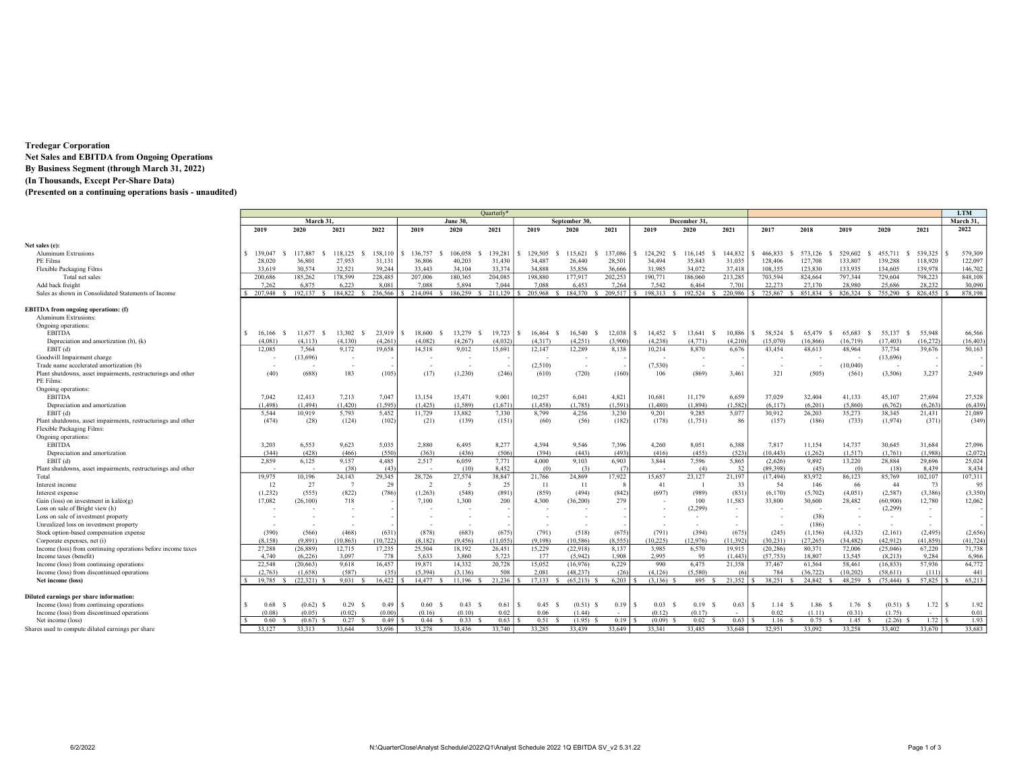# Tredegar Corporation Net Sales and EBITDA from Ongoing Operations By Business Segment (through March 31, 2022) (In Thousands, Except Per-Share Data)

(Presented on a continuing operations basis - unaudited)

|                                                                                                         |              |             |                          |          |                |                 | Quarterly* |            |                            |                        |                |                |          |                                  |                         |                     |               |          | <b>LTM</b> |
|---------------------------------------------------------------------------------------------------------|--------------|-------------|--------------------------|----------|----------------|-----------------|------------|------------|----------------------------|------------------------|----------------|----------------|----------|----------------------------------|-------------------------|---------------------|---------------|----------|------------|
|                                                                                                         | March 31.    |             |                          |          |                | <b>June 30.</b> |            |            | September 30               |                        |                | December 31    |          |                                  |                         |                     |               |          | March 31.  |
|                                                                                                         | 2019         | 2020        | 2021                     | 2022     | 2019           | 2020            | 2021       | 2019       | 2020                       | 2021                   | 2019           | 2020           | 2021     | 2017                             | 2018                    | 2019                | 2020          | 2021     | 2022       |
| Net sales (e):                                                                                          |              |             |                          |          |                |                 |            |            |                            |                        |                |                |          |                                  |                         |                     |               |          |            |
| <b>Aluminum Extrusions</b>                                                                              | \$139,047    | 117,887     | 118,125                  | 158,110  | 136,757        | 106,058         | 139.281    | 129,505    | 115,621                    | 137,086                | 124.292        | 116,145        | 144,832  | 466,833<br>-S                    | 573,126<br>-8           | 529,602             | 455,711<br>-S | 539,325  | 579,309    |
| PE Films                                                                                                | 28,020       | 36,801      | 27,953                   | 31,131   | 36,806         | 40.203          | 31.430     | 34,487     | 26,440                     | 28,501                 | 34,494         | 35,843         | 31,035   | 128,406                          | 127,708                 | 133,807             | 139,288       | 118,920  | 122,097    |
| Flexible Packaging Films                                                                                | 33,619       | 30,574      | 32,521                   | 39,244   | 33,443         | 34,104          | 33,374     | 34.888     | 35.856                     | 36,666                 | 31.985         | 34,072         | 37,418   | 108,355                          | 123,830                 | 133,935             | 134,605       | 139,978  | 146,702    |
| Total net sales                                                                                         | 200,686      | 185,262     | 178,599                  | 228,485  | 207,006        | 180,365         | 204,085    | 198,880    | 177,917                    | 202,253                | 190,771        | 186,060        | 213,285  | 703,594                          | 824,664                 | 797,344             | 729,604       | 798,223  | 848,108    |
| Add back freight                                                                                        | 7.262        | 6.875       | 6.223                    | 8.081    | 7.088          | 5.894           | 7.044      | 7.088      | 6.453                      | 7.264                  | 7.542          | 6.464          | 7.701    | 22,273                           | 27,170                  | 28,980              | 25,686        | 28.232   | 30,090     |
|                                                                                                         | 207,948      | 192.137     | 184,822                  | 236.566  | 214,094        | 186,259         | 211.129    | 205,968    | 184,370 \$<br>$\mathbf{C}$ | 209,517                | 198.313        | 192.524        | 220,986  | 725,867                          | 851,834<br>$\mathbf{S}$ | 826,324<br><b>R</b> | 755,290       | 826,455  | 878.198    |
| Sales as shown in Consolidated Statements of Income                                                     |              |             |                          |          |                |                 |            |            |                            |                        |                |                |          |                                  |                         |                     |               |          |            |
| <b>EBITDA</b> from ongoing operations: (f)                                                              |              |             |                          |          |                |                 |            |            |                            |                        |                |                |          |                                  |                         |                     |               |          |            |
| Aluminum Extrusions:                                                                                    |              |             |                          |          |                |                 |            |            |                            |                        |                |                |          |                                  |                         |                     |               |          |            |
| Ongoing operations:                                                                                     |              |             |                          |          |                |                 |            |            |                            |                        |                |                |          |                                  |                         |                     |               |          |            |
| <b>EBITDA</b>                                                                                           | S.<br>16,166 | 11.677      | 13,302                   | 23,919   | 18,600         | 13,279          | 19.723     | 16,464     | 16.540                     | 12,038                 | 14,452         | 13.641         | 10,886   | 58,524                           | 65.479                  | 65.683              | 55,137        | 55,948   | 66,566     |
| Depreciation and amortization (b), (k)                                                                  | (4.081)      | (4.113)     | (4.130)                  | (4.261)  | (4.082)        | (4.267)         | (4.032)    | (4.317)    | (4.251)                    | (3,900)                | (4.238)        | (4.771)        | (4.210)  | (15.070)                         | (16, 866)               | (16.719)            | (17, 403)     | (16.272) | (16, 403)  |
| EBIT(d)                                                                                                 | 12,085       | 7,564       | 9,172                    | 19,658   | 14,518         | 9,012           | 15,691     | 12,147     | 12.289                     | 8,138                  | 10.214         | 8,870          | 6.676    | 43,454                           | 48,613                  | 48,964              | 37,734        | 39,676   | 50.163     |
| Goodwill Impairment charge                                                                              |              | (13,696)    | $\overline{\phantom{a}}$ |          |                |                 |            | $\sim$     |                            |                        |                |                |          |                                  |                         |                     | (13,696)      |          |            |
|                                                                                                         |              |             |                          |          |                | $\sim$          |            |            |                            |                        |                |                |          |                                  |                         |                     |               |          |            |
| Trade name accelerated amortization (b)<br>Plant shutdowns, asset impairments, restructurings and other |              | (688)       | 183                      | (105)    |                |                 | (246)      | (2,510)    | ٠.<br>(720)                |                        | (7,530)<br>106 | (869)          | 3,461    | 321                              | (505)                   | (10,040)<br>(561)   |               | 3,237    | 2.949      |
| PE Films:                                                                                               | (40)         |             |                          |          | (17)           | (1,230)         |            | (610)      |                            | (160)                  |                |                |          |                                  |                         |                     | (3,506)       |          |            |
|                                                                                                         |              |             |                          |          |                |                 |            |            |                            |                        |                |                |          |                                  |                         |                     |               |          |            |
| Ongoing operations:<br><b>EBITDA</b>                                                                    |              | 12.413      | 7.213                    | 7.047    | 13.154         | 15.471          | 9.001      | 10.257     | 6.041                      | 4.821                  | 10.681         |                | 6.659    | 37,029                           | 32,404                  | 41.133              | 45,107        | 27,694   | 27.528     |
|                                                                                                         | 7.042        |             |                          |          |                |                 |            |            |                            |                        |                | 11,179         |          |                                  |                         |                     |               |          |            |
| Depreciation and amortization                                                                           | (1.498)      | (1.494)     | (1, 420)                 | (1.595)  | (1, 425)       | (1,589)         | (1,671)    | (1, 458)   | (1,785)                    | (1, 591)               | (1.480)        | (1, 894)       | (1, 582) | (6, 117)                         | (6,201)                 | (5,860)             | (6,762)       | (6, 263) | (6, 439)   |
| EBIT (d)                                                                                                | 5,544        | 10,919      | 5,793                    | 5,452    | 11,729         | 13,882          | 7,330      | 8,799      | 4,256                      | 3,230                  | 9,201          | 9,285          | 5,077    | 30,912                           | 26,203                  | 35,273              | 38,345        | 21,431   | 21,089     |
| Plant shutdowns, asset impairments, restructurings and other                                            | (474)        | (28)        | (124)                    | (102)    | (21)           | (139)           | (151)      | (60)       | (56)                       | (182)                  | (178)          | (1,751)        | 86       | (157)                            | (186)                   | (733)               | (1,974)       | (371)    | (349)      |
| Flexible Packaging Films:                                                                               |              |             |                          |          |                |                 |            |            |                            |                        |                |                |          |                                  |                         |                     |               |          |            |
| Ongoing operations:                                                                                     |              |             |                          |          |                |                 |            |            |                            |                        |                |                |          |                                  |                         |                     |               |          |            |
| <b>EBITDA</b>                                                                                           | 3,203        | 6,553       | 9,623                    | 5,035    | 2,880          | 6,495           | 8,277      | 4,394      | 9,546                      | 7,396                  | 4,260          | 8,051          | 6,388    | 7,817                            | 11,154                  | 14,737              | 30,645        | 31,684   | 27,096     |
| Depreciation and amortization                                                                           | (344)        | (428)       | (466)                    | (550)    | (363)          | (436)           | (506)      | (394)      | (443)                      | (493)                  | (416)          | (455)          | (523)    | (10, 443)                        | (1,262)                 | (1, 517)            | (1,761)       | (1,988)  | (2,072)    |
| EBIT(d)                                                                                                 | 2.859        | 6,125       | 9,157                    | 4.485    | 2.517          | 6,059           | 7,771      | 4.000      | 9,103                      | 6,903                  | 3.844          | 7,596          | 5,865    | (2,626)                          | 9.892                   | 13,220              | 28.884        | 29,696   | 25.024     |
| Plant shutdowns, asset impairments, restructurings and other                                            |              |             | (38)                     | (43)     |                | (10)            | 8.452      | (0)        | (3)                        | (7)                    |                | (4)            | -32      | (89, 398)                        | (45)                    | (0)                 | (18)          | 8.439    | 8.434      |
| Total                                                                                                   | 19.975       | 10,196      | 24,143                   | 29,345   | 28,726         | 27,574          | 38,847     | 21.766     | 24,869                     | 17,922                 | 15,657         | 23,127         | 21,197   | (17, 494)                        | 83,972                  | 86,123              | 85,769        | 102,107  | 107,311    |
| Interest income                                                                                         | 12           | 27          |                          | 29       | $\overline{2}$ | -5              | 25         | -11        | -11                        | $\mathbf{\mathcal{R}}$ | 41             | $\blacksquare$ | 33       | -54                              | 146                     | -66                 | 44            | 73       | 95         |
| Interest expense                                                                                        | (1,232)      | (555)       | (822)                    | (786)    | (1,263)        | (548)           | (891)      | (859)      | (494)                      | (842)                  | (697)          | (989)          | (831)    | (6,170)                          | (5,702)                 | (4,051)             | (2,587)       | (3,386)  | (3,350)    |
| Gain (loss) on investment in $kaleo(g)$                                                                 | 17,082       | (26, 100)   | 718                      |          | 7,100          | 1.300           | 200        | 4,300      | (36, 200)                  | 279                    |                | 100            | 11,583   | 33,800                           | 30,600                  | 28,482              | (60,900)      | 12,780   | 12,062     |
| Loss on sale of Bright view (h)                                                                         |              |             |                          |          |                |                 |            | $\sim$     |                            |                        |                | (2, 299)       | $\sim$   |                                  |                         |                     | (2, 299)      |          |            |
| Loss on sale of investment property                                                                     |              |             |                          |          |                |                 |            | $\sim$     |                            |                        |                | - 11           | ٠        |                                  | (38)                    | ٠.                  | $\sim$        | $\sim$   |            |
| Unrealized loss on investment property                                                                  |              |             |                          |          |                |                 |            |            |                            |                        |                |                | ٠        |                                  | (186)                   |                     | $\sim$        |          |            |
| Stock option-based compensation expense                                                                 | (390)        | (566)       | (468)                    | (631)    | (878)          | (683)           | (675)      | (791)      | (518)                      | (675)                  | (791)          | (394)          | (675)    | (245)                            | (1, 156)                | (4,132)             | (2,161)       | (2, 495) | (2,656)    |
| Corporate expenses, net (i)                                                                             | (8.158)      | (9,891)     | (10, 863)                | (10.722) | (8.182)        | (9.456)         | (11.055)   | (9.198)    | (10.586)                   | (8.555)                | 10.225         | (12.976)       | (11.392) | (30.231)                         | (27.265)                | (34.482)            | (42.912)      | (41.859) | (41, 724)  |
| Income (loss) from continuing operations before income taxes                                            | 27,288       | (26, 889)   | 12,715                   | 17,235   | 25,504         | 18,192          | 26,451     | 15,229     | (22, 918)                  | 8,137                  | 3.985          | 6,570          | 19,915   | (20, 286)                        | 80,371                  | 72,006              | (25,046)      | 67,220   | 71,738     |
| Income taxes (benefit)                                                                                  | 4.740        | (6.226)     | 3.097                    | 778      | 5.633          | 3,860           | 5.723      | 177        | (5.942)                    | 1.908                  | 2,995          | 95             | (1.443)  | (57, 753)                        | 18,807                  | 13,545              | (8.213)       | 9.284    | 6.966      |
| Income (loss) from continuing operations                                                                | 22,548       | (20, 663)   | 9,618                    | 16,457   | 19,871         | 14,332          | 20.728     | 15,052     | (16,976)                   | 6,229                  | 990            | 6,475          | 21,358   | 37,467                           | 61,564                  | 58,461              | (16, 833)     | 57,936   | 64,772     |
| Income (loss) from discontinued operations                                                              | (2.763)      | (1,658)     | (587)                    | (35)     | (5, 394)       | (3, 136)        | 508        | 2,081      | (48, 237)                  | (26)                   | (4, 126)       | (5,580)        | - 66     | 784                              | (36, 722)               | (10, 202)           | (58, 611)     | (111)    | 441        |
| Net income (loss)                                                                                       | 19.785       | (22.321)    | 9.031                    | 16.422   | 14.477         | 11.196          | 21.236     | 17.133     | (65.213)                   | 6.203                  | $(3,136)$ \$   | 895 S          | 21.352   | 38.251                           | 24.842                  | 48.259              | (75, 444)     | 57.825   | 65.213     |
|                                                                                                         |              |             |                          |          |                |                 |            |            |                            |                        |                |                |          |                                  |                         |                     |               |          |            |
| Diluted earnings per share information:                                                                 |              |             |                          |          |                |                 |            |            |                            |                        |                |                |          |                                  |                         |                     |               |          |            |
| Income (loss) from continuing operations                                                                | 0.68         | $(0.62)$ \$ | 0.29<br>- 5              | 0.49     | 0.60           | 0.43            | 0.61       | 0.45<br>S. | (0.51)                     | 0.19                   | 0.03           | 0.19           | 0.63     | $\mathbf{\hat{S}}$<br>1.14<br>-8 | 1.86<br>-8              | 1.76<br>- 5         | $(0.51)$ \$   | 1.72     | 1.92       |
| Income (loss) from discontinued operations                                                              | (0.08)       | (0.05)      | (0.02)                   | (0.00)   | (0.16)         | (0.10)          | 0.02       | 0.06       | (1.44)                     |                        | (0.12)         | (0.17)         |          | 0.02                             | (1.11)                  | (0.31)              | (1.75)        |          | 0.01       |
| Net income (loss)                                                                                       | 0.60         | $(0.67)$ S  | 0.27S                    | 0.49     | 0.44 S         | 0.33 S          | 0.63       | 0.51 S     | $(1.95)$ \$                | 0.19                   | (0.09)         | 0.02           | 0.63     | 1.16<br>- 5                      | 0.75<br>- 5             | 1.45                | $(2.26)$ \$   | 1.72     | 1.93       |
| Shares used to compute diluted earnings per share                                                       | 33.127       | 33.313      | 33.644                   | 33.696   | 33.278         | 33.436          | 33.740     | 33.285     | 33.439                     | 33,649                 | 33.341         | 33.485         | 33.648   | 32.951                           | 33.092                  | 33.258              | 33.402        | 33.670   | 33.683     |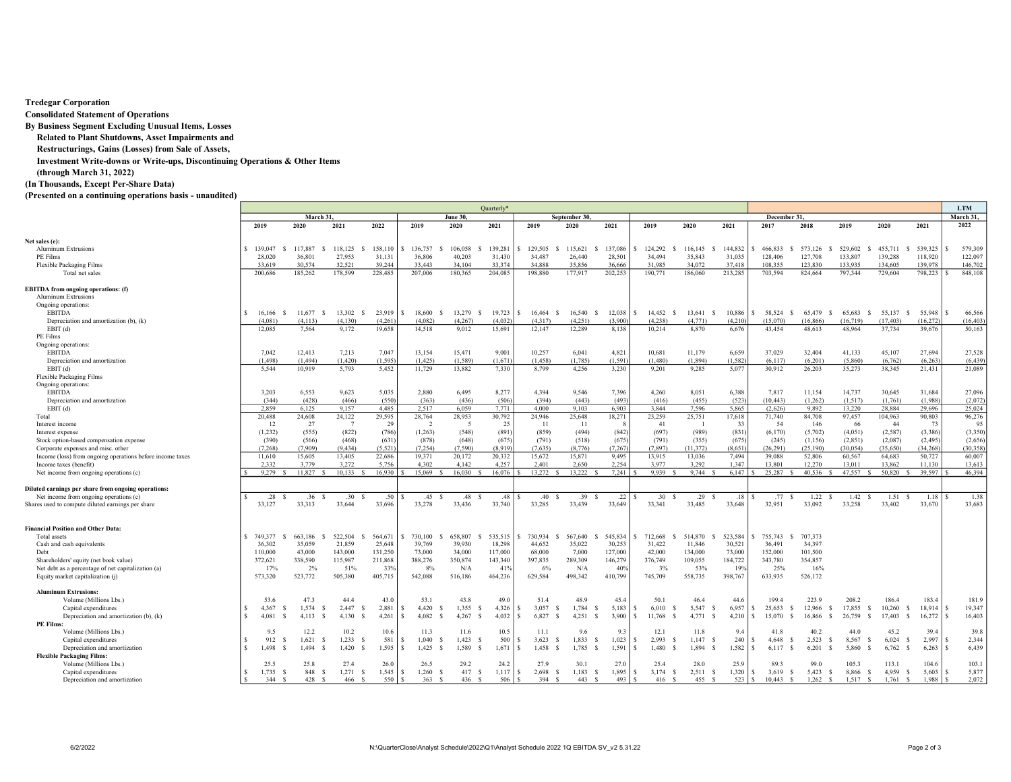### Tredegar Corporation

Consolidated Statement of Operations

By Business Segment Excluding Unusual Items, Losses

Related to Plant Shutdowns, Asset Impairments and

Restructurings, Gains (Losses) from Sale of Assets,

Investment Write-downs or Write-ups, Discontinuing Operations & Other Items

(through March 31, 2022)

# (In Thousands, Except Per-Share Data)

# (Presented on a continuing operations basis - unaudited)

|                                                           |          | Quarterly*  |         |             |              |         |                          |          |              |                 |             |                            |                      |             | <b>LTM</b>                |                     |                     |                            |           |                |                 |     |           |  |  |  |
|-----------------------------------------------------------|----------|-------------|---------|-------------|--------------|---------|--------------------------|----------|--------------|-----------------|-------------|----------------------------|----------------------|-------------|---------------------------|---------------------|---------------------|----------------------------|-----------|----------------|-----------------|-----|-----------|--|--|--|
|                                                           |          |             |         | March 31,   |              |         |                          | June 30. |              |                 |             | September 30               |                      |             |                           |                     | December 31.        |                            | March 31  |                |                 |     |           |  |  |  |
|                                                           |          | 2019        | 2020    |             | 2021         | 2022    | 2019                     | 2020     | 2021         |                 | 2019        | 2020                       | 2021                 | 2019        | 2020                      | 2021                | 2017                | 2018                       | 2019      | 2020           | 2021            |     | 2022      |  |  |  |
| Net sales (e):                                            |          |             |         |             |              |         |                          |          |              |                 |             |                            |                      |             |                           |                     |                     |                            |           |                |                 |     |           |  |  |  |
| <b>Aluminum Extrusions</b>                                |          | \$139,047   | 117,887 |             | 118,125      | 158,110 | 136,757                  | 106,058  | 139,281      |                 | 129,505     | 115.621                    | 137,086              | 124,292     | 116,145                   | 144,832             | 466,833             | 573,126<br>S<br>-8         | 529,602   | 455,711<br>-S  | 539,325<br>- \$ |     | 579,309   |  |  |  |
| PE Films                                                  |          | 28,020      | 36,801  |             | 27,953       | 31,131  | 36,806                   | 40.203   | 31,430       |                 | 34,487      | 26,440                     | 28,501               | 34.494      | 35,843                    | 31,035              | 128,406             | 127,708                    | 133,807   | 139,288        | 118,920         |     | 122,097   |  |  |  |
|                                                           |          | 33,619      | 30,574  |             | 32.521       | 39.244  | 33.443                   | 34.104   | 33,374       |                 | 34,888      | 35,856                     | 36,666               | 31,985      | 34,072                    | 37.418              | 108,355             | 123,830                    | 133,935   | 134,605        | 139,978         |     | 146,702   |  |  |  |
| Flexible Packaging Films                                  |          |             |         |             |              |         |                          |          |              |                 |             |                            |                      |             |                           |                     |                     |                            |           |                |                 |     |           |  |  |  |
| Total net sales                                           |          | 200,686     | 185,262 |             | 178,599      | 228,485 | 207,006                  | 180,365  | 204,085      |                 | 198,880     | 177,917                    | 202,253              | 190,771     | 186,060                   | 213,285             | 703,594             | 824,664                    | 797,344   | 729,604        | 798,223         |     | 848,108   |  |  |  |
| <b>EBITDA</b> from ongoing operations: (f)                |          |             |         |             |              |         |                          |          |              |                 |             |                            |                      |             |                           |                     |                     |                            |           |                |                 |     |           |  |  |  |
| <b>Aluminum Extrusions</b>                                |          |             |         |             |              |         |                          |          |              |                 |             |                            |                      |             |                           |                     |                     |                            |           |                |                 |     |           |  |  |  |
| Ongoing operations:                                       |          |             |         |             |              |         |                          |          |              |                 |             |                            |                      |             |                           |                     |                     |                            |           |                |                 |     |           |  |  |  |
| <b>EBITDA</b>                                             | \$.      | 16,166      | 11,677  | -S          | 13,302       | 23,919  | 18,600                   | 13,279   | 19,723       |                 | 16,464      | 16,540                     | 12,038               | 14,452      | 13,641                    | 10,886<br>-8        | 58,524              | 65,479<br>-S<br>-8         | 65,683    | 55,137<br>-8   | 55,948<br>-S    |     | 66,566    |  |  |  |
| Depreciation and amortization (b), (k)                    |          | (4.081)     |         | (4.113)     | (4.130)      | (4.261) | (4.082)                  | (4.267)  | (4.032)      |                 | (4.317)     | (4.251)                    | (3,900)              | (4.238)     | (4.771)                   | (4.210)             | (15.070)            | (16, 866)                  | (16, 719) | (17, 403)      | (16.272)        |     | (16, 403) |  |  |  |
| EBIT(d)                                                   |          | 12,085      | 7.564   |             | 9,172        | 19,658  | 14.518                   | 9,012    | 15,691       |                 | 12,147      | 12,289                     | 8.138                | 10,214      | 8,870                     | 6,676               | 43,454              | 48,613                     | 48,964    | 37,734         | 39,676          |     | 50,163    |  |  |  |
|                                                           |          |             |         |             |              |         |                          |          |              |                 |             |                            |                      |             |                           |                     |                     |                            |           |                |                 |     |           |  |  |  |
| PE Films                                                  |          |             |         |             |              |         |                          |          |              |                 |             |                            |                      |             |                           |                     |                     |                            |           |                |                 |     |           |  |  |  |
| Ongoing operations:                                       |          |             |         |             |              |         |                          |          |              |                 |             |                            |                      |             |                           |                     |                     |                            |           |                |                 |     |           |  |  |  |
| <b>EBITDA</b>                                             |          | 7,042       | 12,413  |             | 7,213        | 7,047   | 13,154                   | 15,471   | 9,001        |                 | 10,257      | 6,041                      | 4,821                | 10,681      | 11,179                    | 6,659               | 37,029              | 32,404                     | 41,133    | 45,107         | 27,694          |     | 27,528    |  |  |  |
| Depreciation and amortization                             |          | (1.498)     | (1.494) |             | (1.420)      | (1.595) | (1.425)                  | (1.589)  | (1.671)      |                 | (1.458)     | (1.785)                    | (1.591)              | (1.480)     | (1.894)                   | (1.582)             | (6.117)             | (6.201)                    | (5,860)   | (6.762)        | (6, 263)        |     | (6, 439)  |  |  |  |
| EBIT(d)                                                   |          | 5.544       | 10,919  |             | 5,793        | 5,452   | 11,729                   | 13,882   | 7,330        |                 | 8,799       | 4.256                      | 3,230                | 9,201       | 9,285                     | 5,077               | 30,912              | 26,203                     | 35,273    | 38,345         | 21,431          |     | 21,089    |  |  |  |
| Flexible Packaging Films                                  |          |             |         |             |              |         |                          |          |              |                 |             |                            |                      |             |                           |                     |                     |                            |           |                |                 |     |           |  |  |  |
| Ongoing operations:                                       |          |             |         |             |              |         |                          |          |              |                 |             |                            |                      |             |                           |                     |                     |                            |           |                |                 |     |           |  |  |  |
| <b>EBITDA</b>                                             |          | 3.203       | 6.553   |             | 9.623        | 5,035   | 2.880                    | 6,495    | 8.277        |                 | 4.394       | 9.546                      | 7,396                | 4.260       | 8,051                     | 6.388               | 7,817               | 11,154                     | 14,737    | 30,645         | 31,684          |     | 27,096    |  |  |  |
|                                                           |          | (344)       |         | (428)       | (466)        | (550)   | (363)                    | (436)    | (506)        |                 | (394)       | (443)                      | (493)                | (416)       | (455)                     | (523)               | (10.443)            | (1.262)                    | (1,517)   | (1.761)        | (1.988)         |     | (2,072)   |  |  |  |
| Depreciation and amortization                             |          |             |         |             |              |         |                          |          |              |                 |             |                            |                      |             |                           |                     |                     |                            |           |                |                 |     |           |  |  |  |
| EBIT(d)                                                   |          | 2.859       | 6,125   |             | 9,157        | 4,485   | 2,517                    | 6,059    | 7,771        |                 | 4,000       | 9.103                      | 6.903                | 3,844       | 7.596                     | 5,865               | (2,626)             | 9.892                      | 13,220    | 28,884         | 29,696          |     | 25,024    |  |  |  |
| Total                                                     |          | 20,488      | 24,608  |             | 24,122       | 29,595  | 28,764                   | 28,953   | 30,792       |                 | 24,946      | 25,648                     | 18,271               | 23,259      | 25,751                    | 17,618              | 71,740              | 84,708                     | 97,457    | 104,963        | 90,803          |     | 96,276    |  |  |  |
| Interest income                                           |          | 12          |         | 27          | -7           | 29      | $\overline{\phantom{a}}$ | - 5      |              | 25              | -11         | -11                        | - 8                  | 41          | - 1                       | 33                  | - 54                | 146                        | -66       | 44             |                 | -73 | 95        |  |  |  |
| Interest expense                                          |          | (1,232)     |         | (555)       | (822)        | (786)   | (1,263)                  | (548)    | (891)        |                 | (859)       | (494)                      | (842)                | (697)       | (989)                     | (831)               | (6,170)             | (5,702)                    | (4,051)   | (2,587)        | (3,386)         |     | (3,350)   |  |  |  |
| Stock option-based compensation expense                   |          | (390)       |         | (566)       | (468)        | (631)   | (878)                    | (648)    | (675)        |                 | (791)       | (518)                      | (675)                | (791)       | (355)                     | (675)               | (245)               | (1,156)                    | (2,851)   | (2,087)        | (2, 495)        |     | (2,656)   |  |  |  |
| Corporate expenses and misc. other                        |          | (7, 268)    |         | (7.909)     | (9, 434)     | (5,521) | (7.254)                  | (7.590)  | (8,919)      |                 | (7,635)     | (8.776)                    | (7, 267)             | (7, 897)    | (11.372)                  | (8, 651)            | (26, 291)           | (25, 190)                  | (30, 054) | (35,650)       | (34, 268)       |     | (30.358)  |  |  |  |
| Income (loss) from ongoing operations before income taxes |          | 11,610      | 15,605  |             | 13,405       | 22,686  | 19,371                   | 20,172   | 20,332       |                 | 15,672      | 15,871                     | 9,495                | 13,915      | 13,036                    | 7,494               | 39,088              | 52,806                     | 60,567    | 64,683         | 50,727          |     | 60,007    |  |  |  |
| Income taxes (benefit)                                    |          | 2.332       | 3.779   |             | 3.272        | 5.756   | 4.302                    | 4.142    | 4.257        |                 | 2.401       | 2.650                      | 2.254                | 3.977       | 3.292                     | 1.347               | 13,801              | 12.270                     | 13.011    | 13,862         | 11.130          |     | 13.613    |  |  |  |
| Net income from ongoing operations (c)                    |          | 9,279       | 11.827  |             | 10.133       | 16.930  | 15.069                   | 16,030   | 16.076       |                 | 13.272      | 13.222                     | 7.241                | 9.939       | 9.744                     | 6,147               | 25,287              | 40.536                     | 47,557    | 50.820         | 39.597          |     | 46.394    |  |  |  |
|                                                           |          |             |         |             |              |         |                          |          |              |                 |             |                            |                      |             |                           |                     |                     |                            |           |                |                 |     |           |  |  |  |
| Diluted earnings per share from ongoing operations:       |          |             |         |             |              |         |                          |          |              |                 |             |                            |                      |             |                           |                     |                     |                            |           |                |                 |     |           |  |  |  |
| Net income from ongoing operations (c)                    |          | .28S        |         | .36<br>- \$ | .30          | .50     | .45                      | .48      | -S           | .48             | .40         | .39<br>$\mathcal{S}$       | .22<br>$\mathcal{S}$ | .30         | .29<br>$\hat{\mathbf{z}}$ | .18<br><sub>S</sub> | .77S                | 1.22<br>$\mathbf{\hat{S}}$ | 1.42      | 1.51<br>-S     | 1.18<br>- 5     |     | 1.38      |  |  |  |
| Shares used to compute diluted earnings per share         |          | 33,127      | 33,313  |             | 33,644       | 33,696  | 33,278                   | 33,436   | 33,740       |                 | 33,285      | 33,439                     | 33,649               | 33,341      | 33,485                    | 33,648              | 32,951              | 33,092                     | 33,258    | 33,402         | 33,670          |     | 33,683    |  |  |  |
|                                                           |          |             |         |             |              |         |                          |          |              |                 |             |                            |                      |             |                           |                     |                     |                            |           |                |                 |     |           |  |  |  |
| <b>Financial Position and Other Data:</b>                 |          |             |         |             |              |         |                          |          |              |                 |             |                            |                      |             |                           |                     |                     |                            |           |                |                 |     |           |  |  |  |
| Total assets                                              |          | \$749,377   | 663.186 |             | 522.504      | 564,671 | 730,100                  | 658,807  | 535,515      |                 | 730,934     | 567,640                    | 545,834              | 712,668     | 514.870                   | 523.584<br>\$.      | 755,743<br><b>s</b> | 707,373<br>-S              |           |                |                 |     |           |  |  |  |
| Cash and cash equivalents                                 |          | 36,302      | 35,059  |             | 21,859       | 25,648  | 39,769                   | 39,930   | 18,298       |                 | 44,652      | 35,022                     | 30,253               | 31,422      | 11,846                    | 30,521              | 36,491              | 34,397                     |           |                |                 |     |           |  |  |  |
| Debt                                                      |          | 110,000     | 43,000  |             | 143,000      | 131,250 | 73,000                   | 34,000   | 117,000      |                 | 68,000      | 7.000                      | 127,000              | 42,000      | 134,000                   | 73,000              | 152,000             | 101,500                    |           |                |                 |     |           |  |  |  |
| Shareholders' equity (net book value)                     |          | 372,621     | 338,590 |             | 115,987      | 211,868 | 388,276                  | 350,874  | 143,340      |                 | 397,835     | 289,309                    | 146,279              | 376,749     | 109,055                   | 184,722             | 343,780             | 354,857                    |           |                |                 |     |           |  |  |  |
| Net debt as a percentage of net capitalization (a)        |          | 17%         |         | 2%          | 51%          | 33%     | 8%                       | N/A      | 41%          |                 | 6%          | N/A                        | 40%                  | 3%          | 53%                       | 19%                 | 25%                 | 16%                        |           |                |                 |     |           |  |  |  |
| Equity market capitalization (j)                          |          | 573,320     | 523,772 |             | 505,380      | 405,715 | 542,088                  | 516,186  | 464,236      |                 | 629,584     | 498,342                    | 410,799              | 745,709     | 558,735                   | 398,767             | 633,935             | 526,172                    |           |                |                 |     |           |  |  |  |
|                                                           |          |             |         |             |              |         |                          |          |              |                 |             |                            |                      |             |                           |                     |                     |                            |           |                |                 |     |           |  |  |  |
| <b>Aluminum Extrusions:</b>                               |          |             |         |             |              |         |                          |          |              |                 |             |                            |                      |             |                           |                     |                     |                            |           |                |                 |     |           |  |  |  |
| Volume (Millions Lbs.)                                    |          | 53.6        |         | 47.3        | 44.4         | 43.0    | 53.1                     | 43.8     | 49.0         |                 | 51.4        | 48.9                       | 45.4                 | 50.1        | 46.4                      | 44.6                | 199.4               | 223.9                      | 208.2     | 186.4          | 183.4           |     | 181.9     |  |  |  |
| Capital expenditures                                      |          | 4.367<br>-8 | 1,574   |             | 2,447        | 2,881   | 4,420                    | 1,355    | 4,326        |                 | 3,057       | 1,784<br>-S                | 5,183<br>-S          | 6,010       | 5,547                     | 6,957<br>- \$       | 25,653<br>-S        | 12,966<br>-S<br>-8         | 17,855    | 10,260<br>- \$ | 18,914<br>-S    |     | 19,347    |  |  |  |
| Depreciation and amortization (b), (k)                    | -S       | 4.081       | 4.113   |             | 4.130        | 4,261   | 4.082                    | 4.267    | 4.032        |                 | 6.827       | 4.251                      | 3,900<br>- 5         | 11.768      | 4.771                     | 4,210<br>- \$       | 15,070              | 16.866<br>-8               | 26,759    | 17,403         | 16.272          |     | 16,403    |  |  |  |
| PE Films:                                                 |          |             |         |             |              |         |                          |          |              |                 |             |                            |                      |             |                           |                     |                     |                            |           |                |                 |     |           |  |  |  |
| Volume (Millions Lbs.)                                    |          | 9.5         |         | 12.2        | 10.2         | 10.6    | 11.3                     | 11.6     | 10.5         |                 | 11.1        | 9.6                        | 9.3                  | 12.1        | 11.8                      | 9.4                 | 41.8                | 40.2                       | 44.0      | 45.2           | 39.4            |     | 39.8      |  |  |  |
| Capital expenditures                                      | <b>R</b> | 912<br>- 5  | 1,621   |             | 1,233        | 581     | 1.040                    | 1,423    | 500<br>-S    |                 | 3,623       | 1,833<br>S                 | 1,023<br>S           | 2,993       | 1,147                     | 240<br>- \$         | 4.648               | 2,523<br>-S<br>-8          | 8,567     | 6,024<br>-S    | 2,997<br>-8     |     | 2,344     |  |  |  |
| Depreciation and amortization                             | -S       | 1,498<br>-8 | 1,494   |             | 1,420        | 1,595   | 1,425<br>-S              | 1,589    | 1,671<br>-S  |                 | 1,458       | 1,785<br>-S                | 1,591<br>-S          | 1,480       | 1,894<br>- S              | 1,582<br>- \$       | 6,117<br>-8         | 6,201<br>- \$<br>-8        | 5,860     | 6,762<br>-S    | 6,263<br>-8     |     | 6,439     |  |  |  |
| <b>Flexible Packaging Films:</b>                          |          |             |         |             |              |         |                          |          |              |                 |             |                            |                      |             |                           |                     |                     |                            |           |                |                 |     |           |  |  |  |
| Volume (Millions Lbs.)                                    |          | 25.5        |         | 25.8        | 27.4         | 26.0    | 26.5                     | 29.2     | 24.2         |                 | 27.9        | 30.1                       | 27.0                 | 25.4        | 28.0                      | 25.9                | 89.3                | 99.0                       | 105.3     | 113.1          | 104.6           |     | 103.      |  |  |  |
| Capital expenditures                                      | -8       | $1,735$ \$  |         | 848 S       | 1,271<br>- 8 | 1,545   | 1,260<br>s<br>-S         | 417      | 1,117<br>- S |                 | 2,698<br>-S | 1,183<br>-S                | 1,895<br>-S          | 3,174<br>-S | 2,511 \$<br>-S.           | 1,320               | 3,619<br>IS.        | 5,423<br>- S<br>S.         | 8,866 \$  | 4,959          | 5,603<br>- S    |     | 5,877     |  |  |  |
|                                                           |          |             |         |             |              |         |                          |          |              |                 |             |                            |                      |             |                           |                     |                     |                            |           |                |                 |     |           |  |  |  |
| Depreciation and amortization                             | -S       | 344S        |         | 428S        | 466S         | 550     | 363 S                    | 436 S    |              | $506$ $\mid$ \$ | 394         | 443S<br>$\hat{\mathbf{x}}$ | 493                  | 416         | 455 \$<br>- 8             | $523$ $\sqrt{S}$    | $10,443$ \$         | $1,262$ \$                 | 1,517S    | 1,761          | 1.988<br>-S     |     | 2,072     |  |  |  |